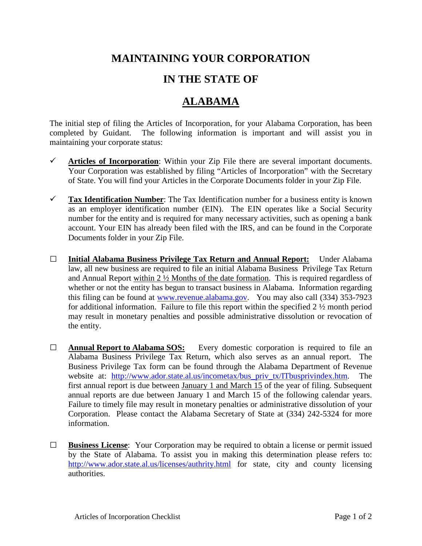## **MAINTAINING YOUR CORPORATION**

## **IN THE STATE OF**

## **ALABAMA**

The initial step of filing the Articles of Incorporation, for your Alabama Corporation, has been completed by Guidant. The following information is important and will assist you in maintaining your corporate status:

- $\checkmark$  Articles of Incorporation: Within your Zip File there are several important documents. Your Corporation was established by filing "Articles of Incorporation" with the Secretary of State. You will find your Articles in the Corporate Documents folder in your Zip File.
- **Tax Identification Number**: The Tax Identification number for a business entity is known as an employer identification number (EIN). The EIN operates like a Social Security number for the entity and is required for many necessary activities, such as opening a bank account. Your EIN has already been filed with the IRS, and can be found in the Corporate Documents folder in your Zip File.
- **□ Initial Alabama Business Privilege Tax Return and Annual Report:** Under Alabama law, all new business are required to file an initial Alabama Business Privilege Tax Return and Annual Report within 2 ½ Months of the date formation. This is required regardless of whether or not the entity has begun to transact business in Alabama. Information regarding this filing can be found at [www.revenue.alabama.gov.](http://www.revenue.alabama.gov/) You may also call (334) 353-7923 for additional information. Failure to file this report within the specified 2 ½ month period may result in monetary penalties and possible administrative dissolution or revocation of the entity.
- □ **Annual Report to Alabama SOS:** Every domestic corporation is required to file an Alabama Business Privilege Tax Return, which also serves as an annual report. The Business Privilege Tax form can be found through the Alabama Department of Revenue website at: http://www.ador.state.al.us/incometax/bus priv tx/ITbusprivindex.htm. The first annual report is due between January 1 and March 15 of the year of filing. Subsequent annual reports are due between January 1 and March 15 of the following calendar years. Failure to timely file may result in monetary penalties or administrative dissolution of your Corporation. Please contact the Alabama Secretary of State at (334) 242-5324 for more information.
- **□ Business License**: Your Corporation may be required to obtain a license or permit issued by the State of Alabama. To assist you in making this determination please refers to: <http://www.ador.state.al.us/licenses/authrity.html> for state, city and county licensing authorities.